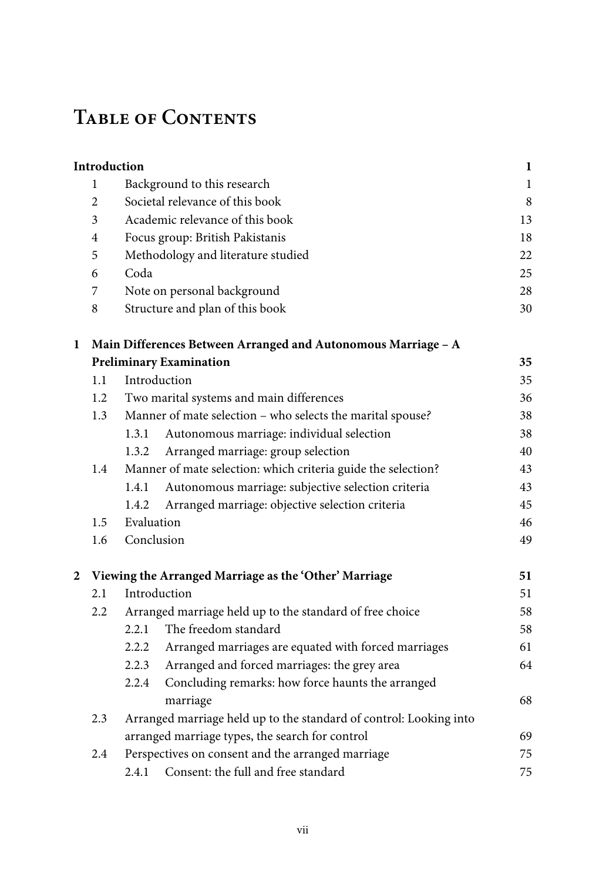## **Table of Contents**

|   | Introduction                                          |                                                                    |                                                               | $\mathbf{1}$ |  |  |  |
|---|-------------------------------------------------------|--------------------------------------------------------------------|---------------------------------------------------------------|--------------|--|--|--|
|   | $\mathbf{1}$                                          |                                                                    | Background to this research                                   | 1            |  |  |  |
|   | $\overline{c}$                                        | Societal relevance of this book                                    |                                                               |              |  |  |  |
|   | 3                                                     | Academic relevance of this book                                    |                                                               |              |  |  |  |
|   | 4                                                     | Focus group: British Pakistanis                                    | 18                                                            |              |  |  |  |
|   | 5                                                     | Methodology and literature studied                                 | 22                                                            |              |  |  |  |
|   | 6                                                     | Coda                                                               |                                                               | 25           |  |  |  |
|   | 7                                                     |                                                                    | Note on personal background                                   | 28           |  |  |  |
|   | 8                                                     |                                                                    | Structure and plan of this book                               | 30           |  |  |  |
| 1 |                                                       |                                                                    | Main Differences Between Arranged and Autonomous Marriage - A |              |  |  |  |
|   |                                                       |                                                                    | <b>Preliminary Examination</b>                                | 35           |  |  |  |
|   | 1.1                                                   | Introduction                                                       |                                                               | 35           |  |  |  |
|   | 1.2                                                   |                                                                    | Two marital systems and main differences                      | 36           |  |  |  |
|   | 1.3                                                   |                                                                    | Manner of mate selection - who selects the marital spouse?    | 38           |  |  |  |
|   |                                                       | 1.3.1                                                              | Autonomous marriage: individual selection                     | 38           |  |  |  |
|   |                                                       | 1.3.2                                                              | Arranged marriage: group selection                            | 40           |  |  |  |
|   | 1.4                                                   |                                                                    | Manner of mate selection: which criteria guide the selection? | 43           |  |  |  |
|   |                                                       | 1.4.1                                                              | Autonomous marriage: subjective selection criteria            | 43           |  |  |  |
|   |                                                       | 1.4.2                                                              | Arranged marriage: objective selection criteria               | 45           |  |  |  |
|   | 1.5                                                   | Evaluation                                                         |                                                               | 46           |  |  |  |
|   | 1.6                                                   | Conclusion                                                         |                                                               |              |  |  |  |
| 2 | Viewing the Arranged Marriage as the 'Other' Marriage |                                                                    |                                                               |              |  |  |  |
|   | 2.1                                                   | Introduction                                                       |                                                               |              |  |  |  |
|   | 2.2                                                   | Arranged marriage held up to the standard of free choice           |                                                               | 58           |  |  |  |
|   |                                                       | 2.2.1                                                              | The freedom standard                                          | 58           |  |  |  |
|   |                                                       | 2.2.2                                                              | Arranged marriages are equated with forced marriages          | 61           |  |  |  |
|   |                                                       | 2.2.3                                                              | Arranged and forced marriages: the grey area                  | 64           |  |  |  |
|   |                                                       | 2.2.4                                                              | Concluding remarks: how force haunts the arranged             |              |  |  |  |
|   |                                                       |                                                                    | marriage                                                      | 68           |  |  |  |
|   | 2.3                                                   | Arranged marriage held up to the standard of control: Looking into |                                                               |              |  |  |  |
|   |                                                       | arranged marriage types, the search for control<br>69              |                                                               |              |  |  |  |
|   | 2.4                                                   | Perspectives on consent and the arranged marriage                  |                                                               |              |  |  |  |
|   |                                                       | 2.4.1                                                              | Consent: the full and free standard                           | 75           |  |  |  |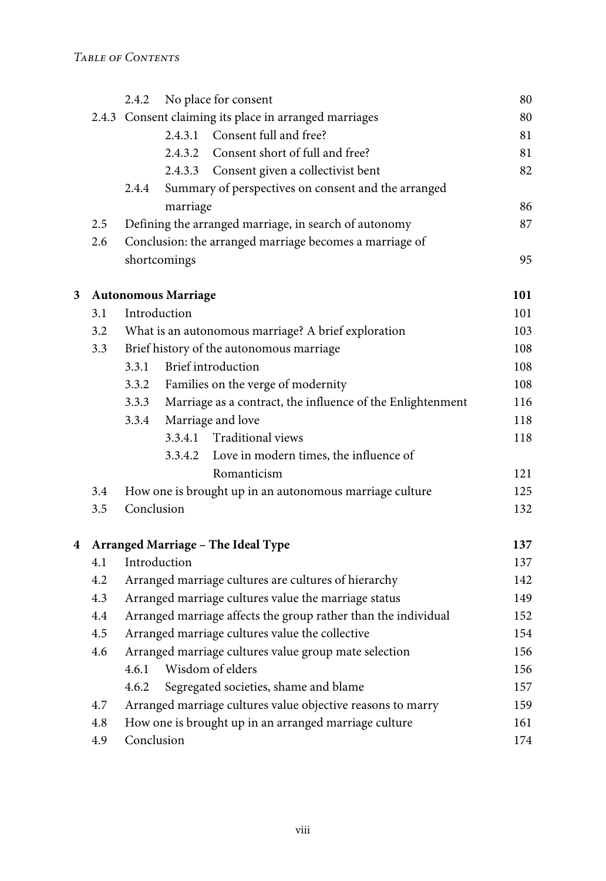|   |     | 2.4.2                                                                          |                                                         |                                                     | 80  |  |
|---|-----|--------------------------------------------------------------------------------|---------------------------------------------------------|-----------------------------------------------------|-----|--|
|   |     | No place for consent<br>2.4.3 Consent claiming its place in arranged marriages |                                                         |                                                     | 80  |  |
|   |     | 2.4.3.1                                                                        |                                                         | Consent full and free?                              | 81  |  |
|   |     |                                                                                | 2.4.3.2                                                 | Consent short of full and free?                     | 81  |  |
|   |     |                                                                                | 2.4.3.3                                                 | Consent given a collectivist bent                   | 82  |  |
|   |     | 2.4.4                                                                          |                                                         | Summary of perspectives on consent and the arranged |     |  |
|   |     |                                                                                | marriage                                                |                                                     | 86  |  |
|   | 2.5 | Defining the arranged marriage, in search of autonomy                          |                                                         |                                                     |     |  |
|   | 2.6 |                                                                                | Conclusion: the arranged marriage becomes a marriage of |                                                     |     |  |
|   |     | shortcomings                                                                   |                                                         |                                                     |     |  |
| 3 |     |                                                                                | <b>Autonomous Marriage</b>                              |                                                     | 101 |  |
|   | 3.1 | Introduction                                                                   |                                                         |                                                     |     |  |
|   | 3.2 |                                                                                | What is an autonomous marriage? A brief exploration     |                                                     |     |  |
|   | 3.3 | Brief history of the autonomous marriage                                       |                                                         |                                                     | 108 |  |
|   |     | 3.3.1                                                                          |                                                         | Brief introduction                                  | 108 |  |
|   |     | 3.3.2                                                                          |                                                         | Families on the verge of modernity                  | 108 |  |
|   |     | Marriage as a contract, the influence of the Enlightenment<br>3.3.3            |                                                         | 116                                                 |     |  |
|   |     | 3.3.4                                                                          |                                                         | Marriage and love                                   | 118 |  |
|   |     |                                                                                | 3.3.4.1                                                 | Traditional views                                   | 118 |  |
|   |     |                                                                                | 3.3.4.2                                                 | Love in modern times, the influence of              |     |  |
|   |     |                                                                                |                                                         | Romanticism                                         | 121 |  |
|   | 3.4 | How one is brought up in an autonomous marriage culture                        |                                                         |                                                     | 125 |  |
|   | 3.5 | Conclusion                                                                     |                                                         |                                                     |     |  |
| 4 |     |                                                                                |                                                         | Arranged Marriage - The Ideal Type                  | 137 |  |
|   | 4.1 | Introduction                                                                   |                                                         |                                                     |     |  |
|   | 4.2 | Arranged marriage cultures are cultures of hierarchy                           |                                                         |                                                     |     |  |
|   | 4.3 | Arranged marriage cultures value the marriage status                           |                                                         |                                                     |     |  |
|   | 4.4 | Arranged marriage affects the group rather than the individual                 |                                                         |                                                     | 152 |  |
|   | 4.5 | Arranged marriage cultures value the collective                                |                                                         |                                                     | 154 |  |
|   | 4.6 | Arranged marriage cultures value group mate selection                          |                                                         |                                                     | 156 |  |
|   |     | Wisdom of elders<br>4.6.1                                                      |                                                         |                                                     | 156 |  |
|   |     | Segregated societies, shame and blame<br>4.6.2                                 |                                                         |                                                     | 157 |  |
|   | 4.7 | Arranged marriage cultures value objective reasons to marry                    |                                                         |                                                     | 159 |  |
|   | 4.8 | How one is brought up in an arranged marriage culture                          |                                                         |                                                     |     |  |
|   | 4.9 | Conclusion                                                                     |                                                         |                                                     | 174 |  |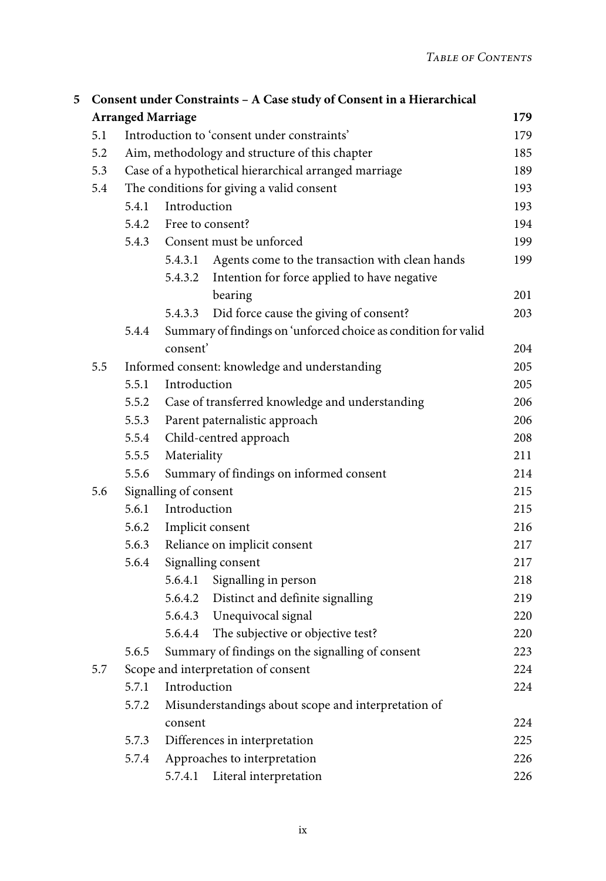| 5 | Consent under Constraints - A Case study of Consent in a Hierarchical<br><b>Arranged Marriage</b><br>179 |                                                              |                                                        |                                                                |     |  |
|---|----------------------------------------------------------------------------------------------------------|--------------------------------------------------------------|--------------------------------------------------------|----------------------------------------------------------------|-----|--|
|   |                                                                                                          |                                                              |                                                        |                                                                |     |  |
|   | 5.1                                                                                                      |                                                              |                                                        | Introduction to 'consent under constraints'                    | 179 |  |
|   | 5.2                                                                                                      | Aim, methodology and structure of this chapter               |                                                        |                                                                | 185 |  |
|   | 5.3                                                                                                      | Case of a hypothetical hierarchical arranged marriage        |                                                        |                                                                | 189 |  |
|   | 5.4                                                                                                      | The conditions for giving a valid consent                    |                                                        |                                                                | 193 |  |
|   |                                                                                                          | Introduction<br>5.4.1                                        |                                                        |                                                                | 193 |  |
|   |                                                                                                          | 5.4.2                                                        | Free to consent?                                       |                                                                | 194 |  |
|   |                                                                                                          |                                                              | 5.4.3 Consent must be unforced                         |                                                                | 199 |  |
|   |                                                                                                          |                                                              | 5.4.3.1                                                | Agents come to the transaction with clean hands                | 199 |  |
|   |                                                                                                          |                                                              | 5.4.3.2                                                | Intention for force applied to have negative                   |     |  |
|   |                                                                                                          |                                                              |                                                        | bearing                                                        | 201 |  |
|   |                                                                                                          |                                                              | 5.4.3.3                                                | Did force cause the giving of consent?                         | 203 |  |
|   |                                                                                                          | 5.4.4                                                        |                                                        | Summary of findings on 'unforced choice as condition for valid |     |  |
|   |                                                                                                          |                                                              | consent'                                               |                                                                | 204 |  |
|   | 5.5                                                                                                      | Informed consent: knowledge and understanding                |                                                        |                                                                | 205 |  |
|   |                                                                                                          | 5.5.1                                                        | Introduction                                           |                                                                | 205 |  |
|   |                                                                                                          | 5.5.2                                                        | Case of transferred knowledge and understanding<br>206 |                                                                |     |  |
|   |                                                                                                          | 5.5.3                                                        | 206<br>Parent paternalistic approach                   |                                                                |     |  |
|   |                                                                                                          | 5.5.4                                                        | Child-centred approach<br>208                          |                                                                |     |  |
|   |                                                                                                          | 5.5.5                                                        | Materiality<br>211                                     |                                                                |     |  |
|   |                                                                                                          | 5.5.6                                                        | Summary of findings on informed consent                |                                                                |     |  |
|   | 5.6                                                                                                      | Signalling of consent<br>215                                 |                                                        |                                                                |     |  |
|   |                                                                                                          | 5.6.1                                                        | Introduction<br>215                                    |                                                                |     |  |
|   |                                                                                                          | 5.6.2                                                        | Implicit consent<br>216                                |                                                                |     |  |
|   |                                                                                                          | 5.6.3                                                        | Reliance on implicit consent<br>217                    |                                                                |     |  |
|   |                                                                                                          | 5.6.4                                                        |                                                        | Signalling consent                                             | 217 |  |
|   |                                                                                                          |                                                              |                                                        | 5.6.4.1 Signalling in person                                   | 218 |  |
|   |                                                                                                          |                                                              |                                                        | 5.6.4.2 Distinct and definite signalling                       | 219 |  |
|   |                                                                                                          |                                                              |                                                        | 5.6.4.3 Unequivocal signal                                     | 220 |  |
|   |                                                                                                          |                                                              |                                                        | 5.6.4.4 The subjective or objective test?                      | 220 |  |
|   |                                                                                                          | 5.6.5                                                        |                                                        | Summary of findings on the signalling of consent               | 223 |  |
|   | 5.7                                                                                                      | Scope and interpretation of consent                          |                                                        |                                                                |     |  |
|   |                                                                                                          | 5.7.1                                                        | Introduction                                           |                                                                | 224 |  |
|   |                                                                                                          | 5.7.2<br>Misunderstandings about scope and interpretation of |                                                        |                                                                |     |  |
|   |                                                                                                          |                                                              | consent                                                |                                                                | 224 |  |
|   |                                                                                                          | 5.7.3                                                        | Differences in interpretation<br>225                   |                                                                |     |  |
|   |                                                                                                          | 5.7.4                                                        | Approaches to interpretation                           |                                                                | 226 |  |
|   |                                                                                                          |                                                              | 5.7.4.1                                                | Literal interpretation                                         | 226 |  |